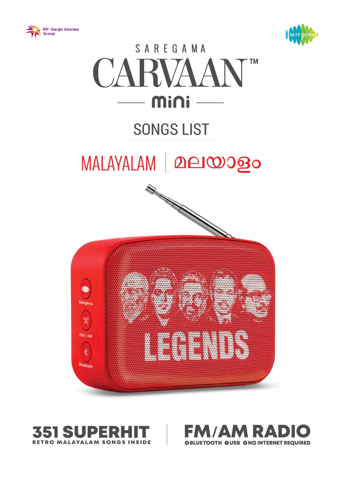







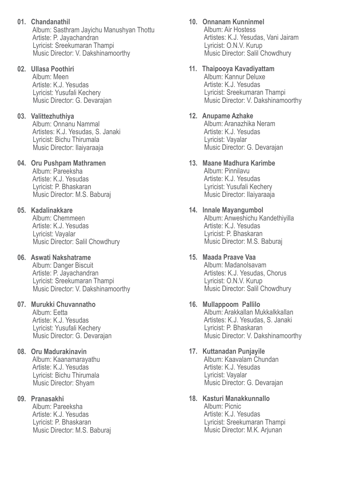- **01. Chandanathil** Album: Sasthram Jayichu Manushyan Thottu Artiste: P. Jayachandran Lyricist: Sreekumaran Thampi Music Director: V. Dakshinamoorthy
- **02. Ullasa Poothiri**

 Album: Meen Artiste: K.J. Yesudas Lyricist: Yusufali Kechery Music Director: G. Devarajan

## **03. Valittezhuthiya**

 Album: Onnanu Nammal Artistes: K.J. Yesudas, S. Janaki Lyricist: Bichu Thirumala Music Director: Ilaiyaraaja

## **04. Oru Pushpam Mathramen**

 Album: Pareeksha Artiste: K.J. Yesudas Lyricist: P. Bhaskaran Music Director: M.S. Baburaj

## **05. Kadalinakkare**

 Album: Chemmeen Artiste: K.J. Yesudas Lyricist: Vayalar Music Director: Salil Chowdhury

## **06. Aswati Nakshatrame**

 Album: Danger Biscuit Artiste: P. Jayachandran Lyricist: Sreekumaran Thampi Music Director: V. Dakshinamoorthy

## **07. Murukki Chuvannatho**

 Album: Eetta Artiste: K.J. Yesudas Lyricist: Yusufali Kechery Music Director: G. Devarajan

## **08. Oru Madurakinavin**

 Album: Kaanamarayathu Artiste: K.J. Yesudas Lyricist: Bichu Thirumala Music Director: Shyam

## **09. Pranasakhi**

 Album: Pareeksha Artiste: K.J. Yesudas Lyricist: P. Bhaskaran Music Director: M.S. Baburaj

## **10. Onnanam Kunninmel**

 Album: Air Hostess Artistes: K.J. Yesudas, Vani Jairam Lyricist: O.N.V. Kurup Music Director: Salil Chowdhury

## **11. Thaipooya Kavadiyattam**

 Album: Kannur Deluxe Artiste: K.J. Yesudas Lyricist: Sreekumaran Thampi Music Director: V. Dakshinamoorthy

## **12. Anupame Azhake**

 Album: Aranazhika Neram Artiste: K.J. Yesudas Lyricist: Vayalar Music Director: G. Devarajan

#### **13. Maane Madhura Karimbe** Album: Pinnilavu Artiste: K.J. Yesudas Lyricist: Yusufali Kechery Music Director: Ilaiyaraaja

**14. Innale Mayangumbol** Album: Anweshichu Kandethiyilla Artiste: K.J. Yesudas Lyricist: P. Bhaskaran Music Director: M.S. Baburaj

## **15. Maada Praave Vaa**

 Album: Madanolsavam Artistes: K.J. Yesudas, Chorus Lyricist: O.N.V. Kurup Music Director: Salil Chowdhury

## **16. Mullappoom Pallilo**

 Album: Arakkallan Mukkalkkallan Artistes: K.J. Yesudas, S. Janaki Lyricist: P. Bhaskaran Music Director: V. Dakshinamoorthy

## **17. Kuttanadan Punjayile**

 Album: Kaavalam Chundan Artiste: K.J. Yesudas Lyricist: Vayalar Music Director: G. Devarajan

## **18. Kasturi Manakkunnallo**

 Album: Picnic Artiste: K.J. Yesudas Lyricist: Sreekumaran Thampi Music Director: M.K. Arjunan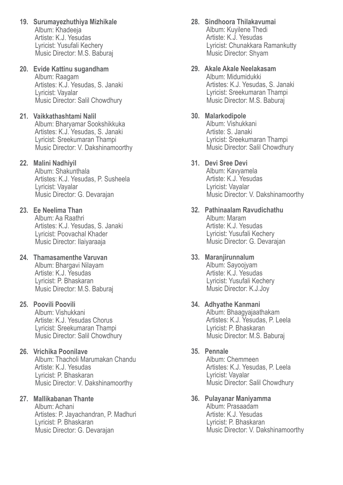- **19. Surumayezhuthiya Mizhikale** Album: Khadeeja Artiste: K.J. Yesudas Lyricist: Yusufali Kechery Music Director: M.S. Baburaj
- **20. Evide Kattinu sugandham** Album: Raagam Artistes: K.J. Yesudas, S. Janaki Lyricist: Vayalar Music Director: Salil Chowdhury
- **21. Vaikkathashtami Nalil** Album: Bharyamar Sookshikkuka Artistes: K.J. Yesudas, S. Janaki Lyricist: Sreekumaran Thampi Music Director: V. Dakshinamoorthy

### **22. Malini Nadhiyil**

 Album: Shakunthala Artistes: K.J. Yesudas, P. Susheela Lyricist: Vayalar Music Director: G. Devarajan

#### **23. Ee Neelima Than**

 Album: Aa Raathri Artistes: K.J. Yesudas, S. Janaki Lyricist: Poovachal Khader Music Director: Ilaiyaraaja

### **24. Thamasamenthe Varuvan**

 Album: Bhargavi Nilayam Artiste: K.J. Yesudas Lyricist: P. Bhaskaran Music Director: M.S. Baburaj

#### **25. Poovili Poovili**

 Album: Vishukkani Artiste: K.J. Yesudas Chorus Lyricist: Sreekumaran Thampi Music Director: Salil Chowdhury

### **26. Vrichika Poonilave**

 Album: Thacholi Marumakan Chandu Artiste: K.J. Yesudas Lyricist: P. Bhaskaran Music Director: V. Dakshinamoorthy

#### **27. Mallikabanan Thante**

 Album: Achani Artistes: P. Jayachandran, P. Madhuri Lyricist: P. Bhaskaran Music Director: G. Devarajan

# **28. Sindhoora Thilakavumai**

 Album: Kuyilene Thedi Artiste: K.J. Yesudas Lyricist: Chunakkara Ramankutty Music Director: Shyam

**29. Akale Akale Neelakasam** Album: Midumidukki Artistes: K.J. Yesudas, S. Janaki Lyricist: Sreekumaran Thampi Music Director: M.S. Baburaj

#### **30. Malarkodipole**

 Album: Vishukkani Artiste: S. Janaki Lyricist: Sreekumaran Thampi Music Director: Salil Chowdhury

### **31. Devi Sree Devi**

 Album: Kavyamela Artiste: K.J. Yesudas Lyricist: Vayalar Music Director: V. Dakshinamoorthy

#### **32. Pathinaalam Ravudichathu** Album: Maram Artiste: K.J. Yesudas Lyricist: Yusufali Kechery Music Director: G. Devarajan

### **33. Maranjirunnalum**

 Album: Sayoojyam Artiste: K.J. Yesudas Lyricist: Yusufali Kechery Music Director: K.J.Joy

#### **34. Adhyathe Kanmani** Album: Bhaagyajaathakam Artistes: K.J. Yesudas, P. Leela Lyricist: P. Bhaskaran

Music Director: M.S. Baburaj

## **35. Pennale**

 Album: Chemmeen Artistes: K.J. Yesudas, P. Leela Lyricist: Vayalar Music Director: Salil Chowdhury

#### **36. Pulayanar Maniyamma**

 Album: Prasaadam Artiste: K.J. Yesudas Lyricist: P. Bhaskaran Music Director: V. Dakshinamoorthy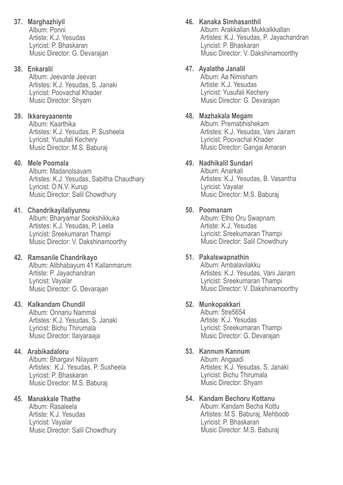## **37. Marghazhiyil**

 Album: Ponni Artiste: K.J. Yesudas Lyricist: P. Bhaskaran Music Director: G. Devarajan

## **38. Enkarali**l

 Album: Jeevante Jeevan Artistes: K.J. Yesudas, S. Janaki Lyricist: Poovachal Khader Music Director: Shyam

## **39. Ikkareyaanente**

 Album: Kaarthika Artistes: K.J. Yesudas, P. Susheela Lyricist: Yusufali Kechery Music Director: M.S. Baburaj

## **40. Mele Poomala**

 Album: Madanolsavam Artistes: K.J. Yesudas, Sabitha Chaudhary Lyricist: O.N.V. Kurup Music Director: Salil Chowdhury

## **41. Chandrikayilaliyunnu**

 Album: Bharyamar Sookshikkuka Artistes: K.J. Yesudas, P. Leela Lyricist: Sreekumaran Thampi Music Director: V. Dakshinamoorthy

## **42. Ramsanile Chandrikayo**

 Album: Alibhabayum 41 Kallanmarum Artiste: P. Jayachandran Lyricist: Vayalar Music Director: G. Devarajan

## **43. Kalkandam Chundil**

 Album: Onnanu Nammal Artistes: K.J. Yesudas, S. Janaki Lyricist: Bichu Thirumala Music Director: Ilaiyaraaja

## **44. Arabikadaloru**

 Album: Bhargavi Nilayam Artistes: K.J. Yesudas, P. Susheela Lyricist: P. Bhaskaran Music Director: M.S. Baburaj

## **45. Manakkale Thathe**

 Album: Rasaleela Artiste: K.J. Yesudas Lyricist: Vayalar Music Director: Salil Chowdhury

## **46. Kanaka Simhasanthil**

 Album: Arakkallan Mukkalkkallan Artistes: K.J. Yesudas, P. Jayachandran Lyricist: P. Bhaskaran Music Director: V. Dakshinamoorthy

## **47. Ayalathe Janalil**

 Album: Aa Nimisham Artiste: K.J. Yesudas Lyricist: Yusufali Kechery Music Director: G. Devarajan

## **48. Mazhakala Megam**

 Album: Premabhishekam Artistes: K.J. Yesudas, Vani Jairam Lyricist: Poovachal Khader Music Director: Gangai Amaran

## **49. Nadhikalil Sundari**

 Album: Anarkali Artistes: K.J. Yesudas, B. Vasantha Lyricist: Vayalar Music Director: M.S. Baburaj

## **50. Poomanam**

 Album: Etho Oru Swapnam Artiste: K.J. Yesudas Lyricist: Sreekumaran Thampi Music Director: Salil Chowdhury

## **51. Pakalswapnathin**

 Album: Ambalavilakku Artistes: K.J. Yesudas, Vani Jairam Lyricist: Sreekumaran Thampi Music Director: V. Dakshinamoorthy

## **52. Munkopakkari**

 Album: 5tre5654 Artiste: K.J. Yesudas Lyricist: Sreekumaran Thampi Music Director: G. Devarajan

## **53. Kannum Kannum**

 Album: Angaadi Artistes: K.J. Yesudas, S. Janaki Lyricist: Bichu Thirumala Music Director: Shyam

## **54. Kandam Bechoru Kottanu**

 Album: Kandam Becha Kottu Artistes: M.S. Baburaj, Mehboob Lyricist: P. Bhaskaran Music Director: M.S. Baburaj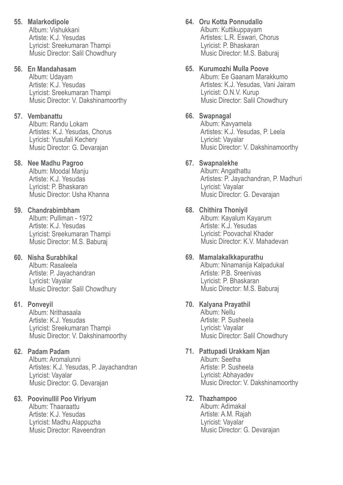**55. Malarkodipole**  Album: Vishukkani Artiste: K.J. Yesudas

 Lyricist: Sreekumaran Thampi Music Director: Salil Chowdhury

## **56. En Mandahasam**

 Album: Udayam Artiste: K.J. Yesudas Lyricist: Sreekumaran Thampi Music Director: V. Dakshinamoorthy

## **57. Vembanattu**

 Album: Randu Lokam Artistes: K.J. Yesudas, Chorus Lyricist: Yusufali Kechery Music Director: G. Devarajan

## **58. Nee Madhu Pagroo**

 Album: Moodal Manju Artiste: K.J. Yesudas Lyricist: P. Bhaskaran Music Director: Usha Khanna

## **59. Chandrabimbham**

 Album: Pulliman - 1972 Artiste: K.J. Yesudas Lyricist: Sreekumaran Thampi Music Director: M.S. Baburaj

## **60. Nisha Surabhikal**

 Album: Rasaleela Artiste: P. Jayachandran Lyricist: Vayalar Music Director: Salil Chowdhury

## **61. Ponveyil**

 Album: Nrithasaala Artiste: K.J. Yesudas Lyricist: Sreekumaran Thampi Music Director: V. Dakshinamoorthy

## **62. Padam Padam**

 Album: Aromalunni Artistes: K.J. Yesudas, P. Jayachandran Lyricist: Vayalar Music Director: G. Devarajan

## **63. Poovinullil Poo Viriyum**

 Album: Thaaraattu Artiste: K.J. Yesudas Lyricist: Madhu Alappuzha Music Director: Raveendran

# **64. Oru Kotta Ponnudallo**

 Album: Kuttikuppayam Artistes: L.R. Eswari, Chorus Lyricist: P. Bhaskaran Music Director: M.S. Baburaj

## **65. Kurumozhi Mulla Poove**

 Album: Ee Gaanam Marakkumo Artistes: K.J. Yesudas, Vani Jairam Lyricist: O.N.V. Kurup Music Director: Salil Chowdhury

## **66. Swapnagal**

 Album: Kavyamela Artistes: K.J. Yesudas, P. Leela Lyricist: Vayalar Music Director: V. Dakshinamoorthy

## **67. Swapnalekhe**

 Album: Angathattu Artistes: P. Jayachandran, P. Madhuri Lyricist: Vayalar Music Director: G. Devarajan

## **68. Chithira Thoniyil**

 Album: Kayalum Kayarum Artiste: K.J. Yesudas Lyricist: Poovachal Khader Music Director: K.V. Mahadevan

## **69. Mamalakalkkapurathu**

 Album: Ninamanija Kalpadukal Artiste: P.B. Sreenivas Lyricist: P. Bhaskaran Music Director: M.S. Baburaj

## **70. Kalyana Prayathil**

 Album: Nellu Artiste: P. Susheela Lyricist: Vayalar Music Director: Salil Chowdhury

# **71. Pattupadi Urakkam Njan**

 Album: Seetha Artiste: P. Susheela Lyricist: Abhayadev Music Director: V. Dakshinamoorthy

## **72. Thazhampoo**

 Album: Adimakal Artiste: A.M. Rajah Lyricist: Vayalar Music Director: G. Devarajan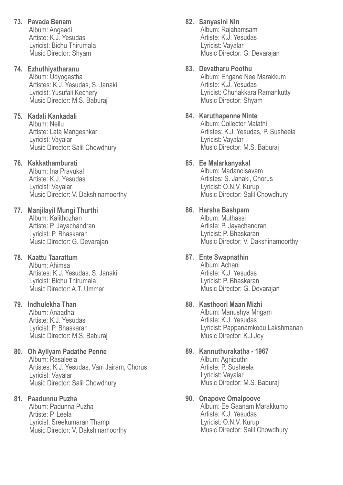**73. Pavada Benam** Album: Angaadi Artiste: K.J. Yesudas Lyricist: Bichu Thirumala Music Director: Shyam

## **74. Ezhuthiyatharanu**

 Album: Udyogastha Artistes: K.J. Yesudas, S. Janaki Lyricist: Yusufali Kechery Music Director: M.S. Baburaj

## **75. Kadali Kankadali**

 Album: Nellu Artiste: Lata Mangeshkar Lyricist: Vayalar Music Director: Salil Chowdhury

### **76. Kakkathamburati**

 Album: Ina Pravukal Artiste: K.J. Yesudas Lyricist: Vayalar Music Director: V. Dakshinamoorthy

#### **77. Manjilayil Mungi Thurthi** Album: Kalithozhan Artiste: P. Jayachandran Lyricist: P. Bhaskaran

Music Director: G. Devarajan

## **78. Kaattu Taarattum**

 Album: Ahimsa Artistes: K.J. Yesudas, S. Janaki Lyricist: Bichu Thirumala Music Director: A.T. Ummer

#### **79. Indhulekha Than**

 Album: Anaadha Artiste: K.J. Yesudas Lyricist: P. Bhaskaran Music Director: M.S. Baburaj

### **80. Oh Ayllyam Padathe Penne**

 Album: Rasaleela Artistes: K.J. Yesudas, Vani Jairam, Chorus Lyricist: Vayalar Music Director: Salil Chowdhury

#### **81. Paadunnu Puzha**

 Album: Padunna Puzha Artiste: P. Leela Lyricist: Sreekumaran Thampi Music Director: V. Dakshinamoorthy

## **82. Sanyasini Nin**

 Album: Rajahamsam Artiste: K.J. Yesudas Lyricist: Vayalar Music Director: G. Devarajan

#### **83. Devatharu Poothu**

 Album: Engane Nee Marakkum Artiste: K.J. Yesudas Lyricist: Chunakkara Ramankutty Music Director: Shyam

#### **84. Karuthapenne Ninte**

 Album: Collector Malathi Artistes: K.J. Yesudas, P. Susheela Lyricist: Vayalar Music Director: M.S. Baburaj

#### **85. Ee Malarkanyakal**

 Album: Madanolsavam Artistes: S. Janaki, Chorus Lyricist: O.N.V. Kurup Music Director: Salil Chowdhury

### **86. Harsha Bashpam**

 Album: Muthassi Artiste: P. Jayachandran Lyricist: P. Bhaskaran Music Director: V. Dakshinamoorthy

## **87. Ente Swapnathin**

 Album: Achani Artiste: K.J. Yesudas Lyricist: P. Bhaskaran Music Director: G. Devarajan

#### **88. Kasthoori Maan Mizhi**

 Album: Manushya Mrigam Artiste: K.J. Yesudas Lyricist: Pappanamkodu Lakshmanan Music Director: K.J.Joy

### **89. Kannuthurakatha - 1967** Album: Agniputhri Artiste: P. Susheela Lyricist: Vayalar

Music Director: M.S. Baburaj

#### **90. Onapove Omalpoove**

 Album: Ee Gaanam Marakkumo Artiste: K.J. Yesudas Lyricist: O.N.V. Kurup Music Director: Salil Chowdhury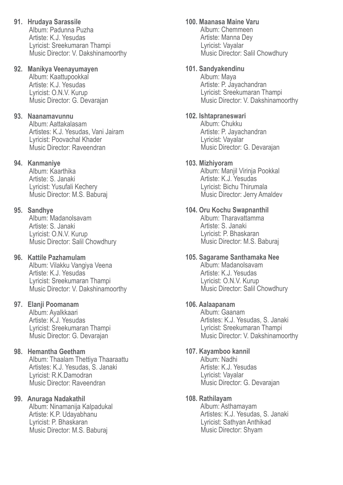**91. Hrudaya Sarassile** Album: Padunna Puzha Artiste: K.J. Yesudas Lyricist: Sreekumaran Thampi Music Director: V. Dakshinamoorthy

### **92. Manikya Veenayumayen**

 Album: Kaattupookkal Artiste: K.J. Yesudas Lyricist: O.N.V. Kurup Music Director: G. Devarajan

## **93. Naanamavunnu**

 Album: Aattakalasam Artistes: K.J. Yesudas, Vani Jairam Lyricist: Poovachal Khader Music Director: Raveendran

### **94. Kanmaniye**

 Album: Kaarthika Artiste: S. Janaki Lyricist: Yusufali Kechery Music Director: M.S. Baburaj

### **95. Sandhye**

 Album: Madanolsavam Artiste: S. Janaki Lyricist: O.N.V. Kurup Music Director: Salil Chowdhury

## **96. Kattile Pazhamulam**

 Album: Vilakku Vangiya Veena Artiste: K.J. Yesudas Lyricist: Sreekumaran Thampi Music Director: V. Dakshinamoorthy

## **97. Elanji Poomanam**

 Album: Ayalkkaari Artiste: K.J. Yesudas Lyricist: Sreekumaran Thampi Music Director: G. Devarajan

## **98. Hemantha Geetham**

 Album: Thaalam Thettiya Thaaraattu Artistes: K.J. Yesudas, S. Janaki Lyricist: R.K.Damodran Music Director: Raveendran

#### **99. Anuraga Nadakathil**

 Album: Ninamanija Kalpadukal Artiste: K.P. Udayabhanu Lyricist: P. Bhaskaran Music Director: M.S. Baburaj

### **100. Maanasa Maine Varu**

 Album: Chemmeen Artiste: Manna Dey Lyricist: Vayalar Music Director: Salil Chowdhury

### **101. Sandyakendinu**

 Album: Maya Artiste: P. Jayachandran Lyricist: Sreekumaran Thampi Music Director: V. Dakshinamoorthy

#### **102. Ishtapraneswari**

 Album: Chukku Artiste: P. Jayachandran Lyricist: Vayalar Music Director: G. Devarajan

#### **103. Mizhiyoram**

 Album: Manjil Virinja Pookkal Artiste: K.J. Yesudas Lyricist: Bichu Thirumala Music Director: Jerry Amaldev

### **104. Oru Kochu Swapnanthil**

 Album: Tharavattamma Artiste: S. Janaki Lyricist: P. Bhaskaran Music Director: M.S. Baburaj

#### **105. Sagarame Santhamaka Nee**

 Album: Madanolsavam Artiste: K.J. Yesudas Lyricist: O.N.V. Kurup Music Director: Salil Chowdhury

## **106. Aalaapanam**

 Album: Gaanam Artistes: K.J. Yesudas, S. Janaki Lyricist: Sreekumaran Thampi Music Director: V. Dakshinamoorthy

### **107. Kayamboo kannil**

 Album: Nadhi Artiste: K.J. Yesudas Lyricist: Vayalar Music Director: G. Devarajan

#### **108. Rathilayam**

 Album: Asthamayam Artistes: K.J. Yesudas, S. Janaki Lyricist: Sathyan Anthikad Music Director: Shyam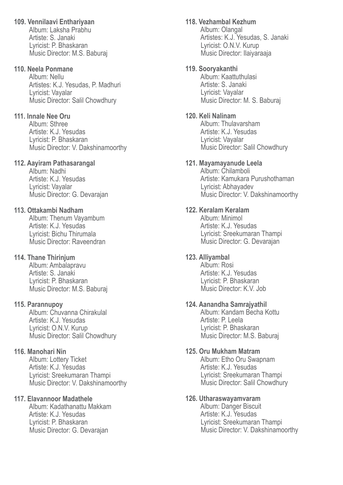## **109. Vennilaavi Enthariyaan**

 Album: Laksha Prabhu Artiste: S. Janaki Lyricist: P. Bhaskaran Music Director: M.S. Baburaj

### **110. Neela Ponmane**

 Album: Nellu Artistes: K.J. Yesudas, P. Madhuri Lyricist: Vayalar Music Director: Salil Chowdhury

## **111. Innale Nee Oru**

 Album: Sthree Artiste: K.J. Yesudas Lyricist: P. Bhaskaran Music Director: V. Dakshinamoorthy

## **112. Aayiram Pathasarangal**

 Album: Nadhi Artiste: K.J. Yesudas Lyricist: Vayalar Music Director: G. Devarajan

## **113. Ottakambi Nadham**

 Album: Thenum Vayambum Artiste: K.J. Yesudas Lyricist: Bichu Thirumala Music Director: Raveendran

## **114. Thane Thirinjum**

 Album: Ambalapravu Artiste: S. Janaki Lyricist: P. Bhaskaran Music Director: M.S. Baburaj

## **115. Parannupoy**

 Album: Chuvanna Chirakulal Artiste: K.J. Yesudas Lyricist: O.N.V. Kurup Music Director: Salil Chowdhury

## **116. Manohari Nin**

 Album: Lottery Ticket Artiste: K.J. Yesudas Lyricist: Sreekumaran Thampi Music Director: V. Dakshinamoorthy

## **117. Elavannoor Madathele**

 Album: Kadathanattu Makkam Artiste: K.J. Yesudas Lyricist: P. Bhaskaran Music Director: G. Devarajan

## **118. Vezhambal Kezhum**

 Album: Olangal Artistes: K.J. Yesudas, S. Janaki Lyricist: O.N.V. Kurup Music Director: Ilaiyaraaja

## **119. Sooryakanthi**

 Album: Kaattuthulasi Artiste: S. Janaki Lyricist: Vayalar Music Director: M. S. Baburaj

## **120. Keli Nalinam**

 Album: Thulavarsham Artiste: K.J. Yesudas Lyricist: Vayalar Music Director: Salil Chowdhury

## **121. Mayamayanude Leela**

 Album: Chilamboli Artiste: Kamukara Purushothaman Lyricist: Abhayadev Music Director: V. Dakshinamoorthy

## **122. Keralam Keralam**

 Album: Minimol Artiste: K.J. Yesudas Lyricist: Sreekumaran Thampi Music Director: G. Devarajan

## **123. Alliyambal**

 Album: Rosi Artiste: K.J. Yesudas Lyricist: P. Bhaskaran Music Director: K.V. Job

## **124. Aanandha Samrajyathil**

 Album: Kandam Becha Kottu Artiste: P. Leela Lyricist: P. Bhaskaran Music Director: M.S. Baburaj

## **125. Oru Mukham Matram**

 Album: Etho Oru Swapnam Artiste: K.J. Yesudas Lyricist: Sreekumaran Thampi Music Director: Salil Chowdhury

## **126. Utharaswayamvaram**

 Album: Danger Biscuit Artiste: K.J. Yesudas Lyricist: Sreekumaran Thampi Music Director: V. Dakshinamoorthy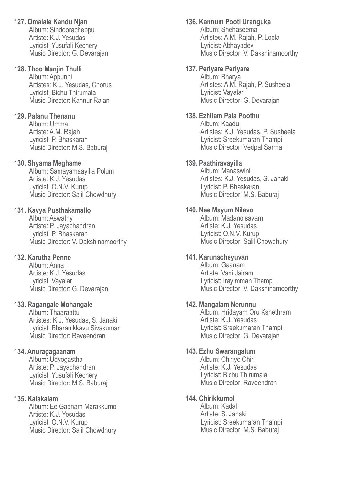## **127. Omalale Kandu Njan**

 Album: Sindooracheppu Artiste: K.J. Yesudas Lyricist: Yusufali Kechery Music Director: G. Devarajan

#### **128. Thoo Manjin Thulli**

 Album: Appunni Artistes: K.J. Yesudas, Chorus Lyricist: Bichu Thirumala Music Director: Kannur Rajan

#### **129. Palanu Thenanu**

 Album: Umma Artiste: A.M. Rajah Lyricist: P. Bhaskaran Music Director: M.S. Baburaj

#### **130. Shyama Meghame**

 Album: Samayamaayilla Polum Artiste: K.J. Yesudas Lyricist: O.N.V. Kurup Music Director: Salil Chowdhury

#### **131. Kavya Pusthakamallo**

 Album: Aswathy Artiste: P. Jayachandran Lyricist: P. Bhaskaran Music Director: V. Dakshinamoorthy

#### **132. Karutha Penne**

 Album: Anna Artiste: K.J. Yesudas Lyricist: Vayalar Music Director: G. Devarajan

#### **133. Ragangale Mohangale**

 Album: Thaaraattu Artistes: K.J. Yesudas, S. Janaki Lyricist: Bharanikkavu Sivakumar Music Director: Raveendran

#### **134. Anuragagaanam**

 Album: Udyogastha Artiste: P. Jayachandran Lyricist: Yusufali Kechery Music Director: M.S. Baburaj

#### **135. Kalakalam**

 Album: Ee Gaanam Marakkumo Artiste: K.J. Yesudas Lyricist: O.N.V. Kurup Music Director: Salil Chowdhury

#### **136. Kannum Pooti Uranguka**

 Album: Snehaseema Artistes: A.M. Rajah, P. Leela Lyricist: Abhayadev Music Director: V. Dakshinamoorthy

#### **137. Periyare Periyare**

 Album: Bharya Artistes: A.M. Rajah, P. Susheela Lyricist: Vayalar Music Director: G. Devarajan

#### **138. Ezhilam Pala Poothu**

 Album: Kaadu Artistes: K.J. Yesudas, P. Susheela Lyricist: Sreekumaran Thampi Music Director: Vedpal Sarma

#### **139. Paathiravayilla**

 Album: Manaswini Artistes: K.J. Yesudas, S. Janaki Lyricist: P. Bhaskaran Music Director: M.S. Baburaj

#### **140. Nee Mayum Nilavo**

 Album: Madanolsavam Artiste: K.J. Yesudas Lyricist: O.N.V. Kurup Music Director: Salil Chowdhury

#### **141. Karunacheyuvan**

 Album: Gaanam Artiste: Vani Jairam Lyricist: Irayimman Thampi Music Director: V. Dakshinamoorthy

#### **142. Mangalam Nerunnu**

 Album: Hridayam Oru Kshethram Artiste: K.J. Yesudas Lyricist: Sreekumaran Thampi Music Director: G. Devarajan

#### **143. Ezhu Swarangalum**

 Album: Chiriyo Chiri Artiste: K.J. Yesudas Lyricist: Bichu Thirumala Music Director: Raveendran

#### **144. Chirikkumol**

 Album: Kadal Artiste: S. Janaki Lyricist: Sreekumaran Thampi Music Director: M.S. Baburaj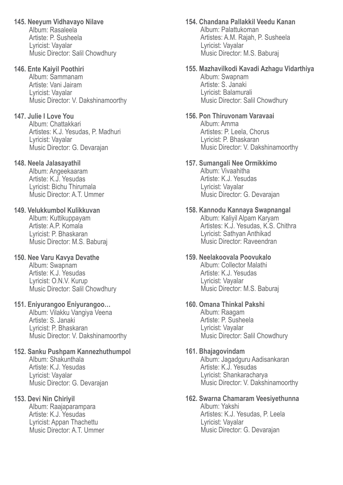## **145. Neeyum Vidhavayo Nilave**

 Album: Rasaleela Artiste: P. Susheela Lyricist: Vayalar Music Director: Salil Chowdhury

## **146. Ente Kaiyil Poothiri**

 Album: Sammanam Artiste: Vani Jairam Lyricist: Vayalar Music Director: V. Dakshinamoorthy

## **147. Julie I Love You**

 Album: Chattakkari Artistes: K.J. Yesudas, P. Madhuri Lyricist: Vayalar Music Director: G. Devarajan

## **148. Neela Jalasayathil**

 Album: Angeekaaram Artiste: K.J. Yesudas Lyricist: Bichu Thirumala Music Director: A.T. Ummer

## **149. Velukkumbol Kulikkuvan**

 Album: Kuttikuppayam Artiste: A.P. Komala Lyricist: P. Bhaskaran Music Director: M.S. Baburaj

## **150. Nee Varu Kavya Devathe**

 Album: Swapnam Artiste: K.J. Yesudas Lyricist: O.N.V. Kurup Music Director: Salil Chowdhury

## **151. Eniyurangoo Eniyurangoo…**

 Album: Vilakku Vangiya Veena Artiste: S. Janaki Lyricist: P. Bhaskaran Music Director: V. Dakshinamoorthy

## **152. Sanku Pushpam Kannezhuthumpol**

 Album: Shakunthala Artiste: K.J. Yesudas Lyricist: Vayalar Music Director: G. Devarajan

## **153. Devi Nin Chiriyil**

 Album: Raajaparampara Artiste: K.J. Yesudas Lyricist: Appan Thachettu Music Director: A.T. Ummer

## **154. Chandana Pallakkil Veedu Kanan**

 Album: Palattukoman Artistes: A.M. Rajah, P. Susheela Lyricist: Vayalar Music Director: M.S. Baburaj

## **155. Mazhavilkodi Kavadi Azhagu Vidarthiya**

 Album: Swapnam Artiste: S. Janaki Lyricist: Balamurali Music Director: Salil Chowdhury

## **156. Pon Thiruvonam Varavaai**

 Album: Amma Artistes: P. Leela, Chorus Lyricist: P. Bhaskaran Music Director: V. Dakshinamoorthy

## **157. Sumangali Nee Ormikkimo**

 Album: Vivaahitha Artiste: K.J. Yesudas Lyricist: Vayalar Music Director: G. Devarajan

## **158. Kannodu Kannaya Swapnangal**

 Album: Kaliyil Alpam Karyam Artistes: K.J. Yesudas, K.S. Chithra Lyricist: Sathyan Anthikad Music Director: Raveendran

## **159. Neelakoovala Poovukalo**

 Album: Collector Malathi Artiste: K.J. Yesudas Lyricist: Vayalar Music Director: M.S. Baburaj

# **160. Omana Thinkal Pakshi**

 Album: Raagam Artiste: P. Susheela Lyricist: Vayalar Music Director: Salil Chowdhury

## **161. Bhajagovindam**

 Album: Jagadguru Aadisankaran Artiste: K.J. Yesudas Lyricist: Shankaracharya Music Director: V. Dakshinamoorthy

## **162. Swarna Chamaram Veesiyethunna**

 Album: Yakshi Artistes: K.J. Yesudas, P. Leela Lyricist: Vayalar Music Director: G. Devarajan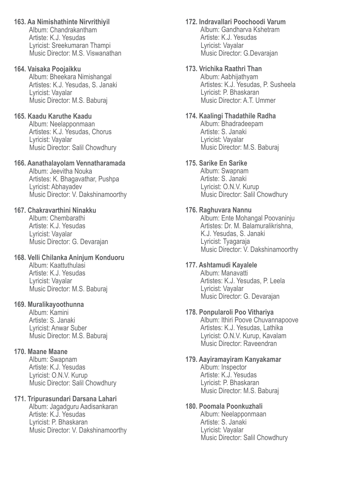**163. Aa Nimishathinte Nirvrithiyil** Album: Chandrakantham Artiste: K.J. Yesudas Lyricist: Sreekumaran Thampi Music Director: M.S. Viswanathan

#### **164. Vaisaka Poojaikku**

 Album: Bheekara Nimishangal Artistes: K.J. Yesudas, S. Janaki Lyricist: Vayalar Music Director: M.S. Baburaj

### **165. Kaadu Karuthe Kaadu**

 Album: Neelapponmaan Artistes: K.J. Yesudas, Chorus Lyricist: Vayalar Music Director: Salil Chowdhury

### **166. Aanathalayolam Vennatharamada**

 Album: Jeevitha Nouka Artistes: K. Bhagavathar, Pushpa Lyricist: Abhayadev Music Director: V. Dakshinamoorthy

## **167. Chakravarthini Ninakku**

 Album: Chembarathi Artiste: K.J. Yesudas Lyricist: Vayalar Music Director: G. Devarajan

#### **168. Velli Chilanka Aninjum Konduoru**

 Album: Kaattuthulasi Artiste: K.J. Yesudas Lyricist: Vayalar Music Director: M.S. Baburaj

## **169. Muralikayoothunna**

 Album: Kamini Artiste: S. Janaki Lyricist: Anwar Suber Music Director: M.S. Baburaj

## **170. Maane Maane**

 Album: Swapnam Artiste: K.J. Yesudas Lyricist: O.N.V. Kurup Music Director: Salil Chowdhury

## **171. Tripurasundari Darsana Lahari**

 Album: Jagadguru Aadisankaran Artiste: K.J. Yesudas Lyricist: P. Bhaskaran Music Director: V. Dakshinamoorthy **172. Indravallari Poochoodi Varum** Album: Gandharva Kshetram

 Artiste: K.J. Yesudas Lyricist: Vayalar Music Director: G.Devarajan

## **173. Vrichika Raathri Than**

 Album: Aabhijathyam Artistes: K.J. Yesudas, P. Susheela Lyricist: P. Bhaskaran Music Director: A.T. Ummer

### **174. Kaalingi Thadathile Radha**

 Album: Bhadradeepam Artiste: S. Janaki Lyricist: Vayalar Music Director: M.S. Baburaj

## **175. Sarike En Sarike**

 Album: Swapnam Artiste: S. Janaki Lyricist: O.N.V. Kurup Music Director: Salil Chowdhury

## **176. Raghuvara Nannu**

 Album: Ente Mohangal Poovaninju Artistes: Dr. M. Balamuralikrishna, K.J. Yesudas, S. Janaki Lyricist: Tyagaraja Music Director: V. Dakshinamoorthy

## **177. Ashtamudi Kayalele**

 Album: Manavatti Artistes: K.J. Yesudas, P. Leela Lyricist: Vayalar Music Director: G. Devarajan

#### **178. Ponpularoli Poo Vithariya**

 Album: Ithiri Poove Chuvannapoove Artistes: K.J. Yesudas, Lathika Lyricist: O.N.V. Kurup, Kavalam Music Director: Raveendran

#### **179. Aayiramayiram Kanyakamar** Album: Inspector Artiste: K.J. Yesudas

 Lyricist: P. Bhaskaran Music Director: M.S. Baburaj

## **180. Poomala Poonkuzhali**

 Album: Neelapponmaan Artiste: S. Janaki Lyricist: Vayalar Music Director: Salil Chowdhury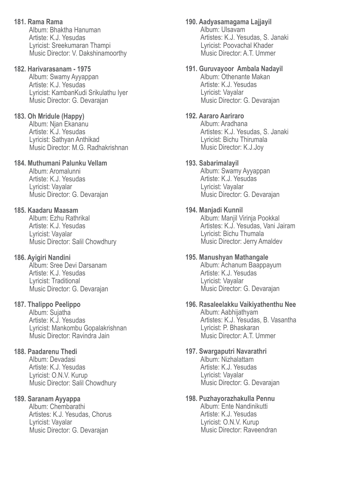**181. Rama Rama** Album: Bhaktha Hanuman Artiste: K.J. Yesudas Lyricist: Sreekumaran Thampi Music Director: V. Dakshinamoorthy

#### **182. Harivarasanam - 1975**

 Album: Swamy Ayyappan Artiste: K.J. Yesudas Lyricist: KambanKudi Srikulathu Iyer Music Director: G. Devarajan

#### **183. Oh Mridule (Happy)**

 Album: Njan Ekananu Artiste: K.J. Yesudas Lyricist: Sathyan Anthikad Music Director: M.G. Radhakrishnan

## **184. Muthumani Palunku Vellam**

 Album: Aromalunni Artiste: K.J. Yesudas Lyricist: Vayalar Music Director: G. Devarajan

### **185. Kaadaru Maasam**

 Album: Ezhu Rathrikal Artiste: K.J. Yesudas Lyricist: Vayalar Music Director: Salil Chowdhury

#### **186. Ayigiri Nandini**

 Album: Sree Devi Darsanam Artiste: K.J. Yesudas Lyricist: Traditional Music Director: G. Devarajan

#### **187. Thalippo Peelippo**

 Album: Sujatha Artiste: K.J. Yesudas Lyricist: Mankombu Gopalakrishnan Music Director: Ravindra Jain

#### **188. Paadarenu Thedi**

 Album: Devadasi Artiste: K.J. Yesudas Lyricist: O.N.V. Kurup Music Director: Salil Chowdhury

#### **189. Saranam Ayyappa**

 Album: Chembarathi Artistes: K.J. Yesudas, Chorus Lyricist: Vayalar Music Director: G. Devarajan

#### **190. Aadyasamagama Lajjayil**

 Album: Ulsavam Artistes: K.J. Yesudas, S. Janaki Lyricist: Poovachal Khader Music Director: A.T. Ummer

#### **191. Guruvayoor Ambala Nadayil**

 Album: Othenante Makan Artiste: K.J. Yesudas Lyricist: Vayalar Music Director: G. Devarajan

#### **192. Aararo Aariraro**

 Album: Aradhana Artistes: K.J. Yesudas, S. Janaki Lyricist: Bichu Thirumala Music Director: K.J.Joy

#### **193. Sabarimalayil**

 Album: Swamy Ayyappan Artiste: K.J. Yesudas Lyricist: Vayalar Music Director: G. Devarajan

#### **194. Manjadi Kunnil**

 Album: Manjil Virinja Pookkal Artistes: K.J. Yesudas, Vani Jairam Lyricist: Bichu Thumala Music Director: Jerry Amaldev

#### **195. Manushyan Mathangale**

 Album: Achanum Baappayum Artiste: K.J. Yesudas Lyricist: Vayalar Music Director: G. Devarajan

#### **196. Rasaleelakku Vaikiyathenthu Nee**

 Album: Aabhijathyam Artistes: K.J. Yesudas, B. Vasantha Lyricist: P. Bhaskaran Music Director: A.T. Ummer

#### **197. Swargaputri Navarathri**

 Album: Nizhalattam Artiste: K.J. Yesudas Lyricist: Vayalar Music Director: G. Devarajan

#### **198. Puzhayorazhakulla Pennu**

 Album: Ente Nandinikutti Artiste: K.J. Yesudas Lyricist: O.N.V. Kurup Music Director: Raveendran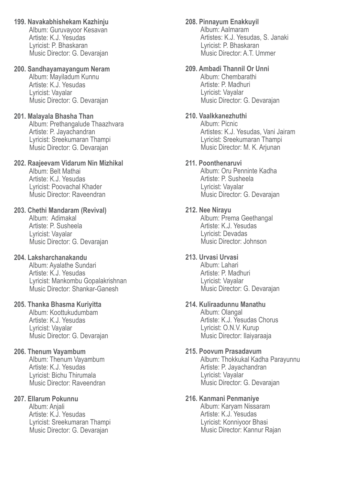**199. Navakabhishekam Kazhinju** Album: Guruvayoor Kesavan Artiste: K.J. Yesudas Lyricist: P. Bhaskaran Music Director: G. Devarajan

## **200. Sandhayamayangum Neram**

 Album: Mayiladum Kunnu Artiste: K.J. Yesudas Lyricist: Vayalar Music Director: G. Devarajan

### **201. Malayala Bhasha Than**

 Album: Prethangalude Thaazhvara Artiste: P. Jayachandran Lyricist: Sreekumaran Thampi Music Director: G. Devarajan

### **202. Raajeevam Vidarum Nin Mizhikal**

 Album: Belt Mathai Artiste: K.J. Yesudas Lyricist: Poovachal Khader Music Director: Raveendran

#### **203. Chethi Mandaram (Revival)**

 Album: Adimakal Artiste: P. Susheela Lyricist: Vayalar Music Director: G. Devarajan

## **204. Laksharchanakandu**

 Album: Ayalathe Sundari Artiste: K.J. Yesudas Lyricist: Mankombu Gopalakrishnan Music Director: Shankar-Ganesh

## **205. Thanka Bhasma Kuriyitta**

 Album: Koottukudumbam Artiste: K.J. Yesudas Lyricist: Vayalar Music Director: G. Devarajan

## **206. Thenum Vayambum**

 Album: Thenum Vayambum Artiste: K.J. Yesudas Lyricist: Bichu Thirumala Music Director: Raveendran

#### **207. Ellarum Pokunnu**

 Album: Anjali Artiste: K.J. Yesudas Lyricist: Sreekumaran Thampi Music Director: G. Devarajan

## **208. Pinnayum Enakkuyil**

 Album: Aalmaram Artistes: K.J. Yesudas, S. Janaki Lyricist: P. Bhaskaran Music Director: A.T. Ummer

### **209. Ambadi Thannil Or Unni**

 Album: Chembarathi Artiste: P. Madhuri Lyricist: Vayalar Music Director: G. Devarajan

### **210. Vaalkkanezhuthi**

 Album: Picnic Artistes: K.J. Yesudas, Vani Jairam Lyricist: Sreekumaran Thampi Music Director: M. K. Arjunan

### **211. Poonthenaruvi**

 Album: Oru Penninte Kadha Artiste: P. Susheela Lyricist: Vayalar Music Director: G. Devarajan

### **212. Nee Nirayu**

 Album: Prema Geethangal Artiste: K.J. Yesudas Lyricist: Devadas Music Director: Johnson

### **213. Urvasi Urvasi**

 Album: Lahari Artiste: P. Madhuri Lyricist: Vayalar Music Director: G. Devarajan

## **214. Kuliraadunnu Manathu**

 Album: Olangal Artiste: K.J. Yesudas Chorus Lyricist: O.N.V. Kurup Music Director: Ilaiyaraaja

### **215. Poovum Prasadavum**

 Album: Thokkukal Kadha Parayunnu Artiste: P. Jayachandran Lyricist: Vayalar Music Director: G. Devarajan

#### **216. Kanmani Penmaniye**

 Album: Karyam Nissaram Artiste: K.J. Yesudas Lyricist: Konniyoor Bhasi Music Director: Kannur Rajan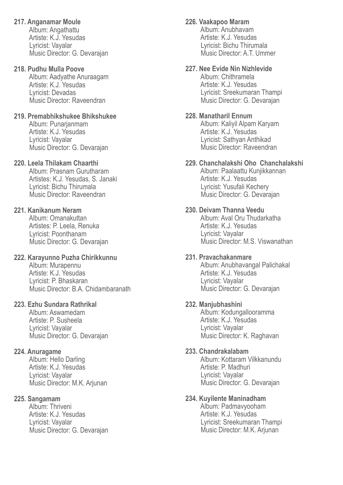### **217. Anganamar Moule**

 Album: Angathattu Artiste: K.J. Yesudas Lyricist: Vayalar Music Director: G. Devarajan

### **218. Pudhu Mulla Poove**

 Album: Aadyathe Anuraagam Artiste: K.J. Yesudas Lyricist: Devadas Music Director: Raveendran

### **219. Premabhikshukee Bhikshukee**

 Album: Punarjanmam Artiste: K.J. Yesudas Lyricist: Vayalar Music Director: G. Devarajan

## **220. Leela Thilakam Chaarthi**

 Album: Prasnam Gurutharam Artistes: K.J. Yesudas, S. Janaki Lyricist: Bichu Thirumala Music Director: Raveendran

## **221. Kanikanum Neram**

 Album: Omanakuttan Artistes: P. Leela, Renuka Lyricist: Poonthanam Music Director: G. Devarajan

### **222. Karayunno Puzha Chirikkunnu**

 Album: Murapennu Artiste: K.J. Yesudas Lyricist: P. Bhaskaran Music Director: B.A. Chidambaranath

## **223. Ezhu Sundara Rathrikal**

 Album: Aswamedam Artiste: P. Susheela Lyricist: Vayalar Music Director: G. Devarajan

## **224. Anuragame**

 Album: Hello Darling Artiste: K.J. Yesudas Lyricist: Vayalar Music Director: M.K. Arjunan

## **225. Sangamam**

 Album: Thriveni Artiste: K.J. Yesudas Lyricist: Vayalar Music Director: G. Devarajan

## **226. Vaakapoo Maram**

 Album: Anubhavam Artiste: K.J. Yesudas Lyricist: Bichu Thirumala Music Director: A.T. Ummer

### **227. Nee Evide Nin Nizhlevide**

 Album: Chithramela Artiste: K.J. Yesudas Lyricist: Sreekumaran Thampi Music Director: G. Devarajan

### **228. Manatharil Ennum**

 Album: Kaliyil Alpam Karyam Artiste: K.J. Yesudas Lyricist: Sathyan Anthikad Music Director: Raveendran

## **229. Chanchalakshi Oho Chanchalakshi**

 Album: Paalaattu Kunjikkannan Artiste: K.J. Yesudas Lyricist: Yusufali Kechery Music Director: G. Devarajan

## **230. Deivam Thanna Veedu**

 Album: Aval Oru Thudarkatha Artiste: K.J. Yesudas Lyricist: Vayalar Music Director: M.S. Viswanathan

### **231. Pravachakanmare**

 Album: Anubhavangal Palichakal Artiste: K.J. Yesudas Lyricist: Vayalar Music Director: G. Devarajan

## **232. Manjubhashini**

 Album: Kodungallooramma Artiste: K.J. Yesudas Lyricist: Vayalar Music Director: K. Raghavan

## **233. Chandrakalabam**

 Album: Kottaram Vilkkanundu Artiste: P. Madhuri Lyricist: Vayalar Music Director: G. Devarajan

#### **234. Kuyilente Maninadham**

 Album: Padmavyooham Artiste: K.J. Yesudas Lyricist: Sreekumaran Thampi Music Director: M.K. Arjunan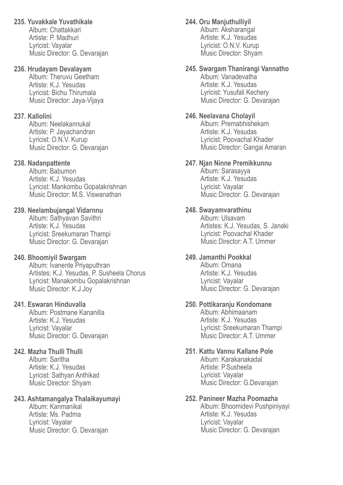## **235. Yuvakkale Yuvathikale**

 Album: Chattakkari Artiste: P. Madhuri Lyricist: Vayalar Music Director: G. Devarajan

## **236. Hrudayam Devalayam**

 Album: Theruvu Geetham Artiste: K.J. Yesudas Lyricist: Bichu Thirumala Music Director: Jaya-Vijaya

## **237. Kallolini**

 Album: Neelakannukal Artiste: P. Jayachandran Lyricist: O.N.V. Kurup Music Director: G. Devarajan

## **238. Nadanpattente**

 Album: Babumon Artiste: K.J. Yesudas Lyricist: Mankombu Gopalakrishnan Music Director: M.S. Viswanathan

## **239. Neelambujangal Vidarnnu**

 Album: Sathyavan Savithri Artiste: K.J. Yesudas Lyricist: Sreekumaran Thampi Music Director: G. Devarajan

## **240. Bhoomiyil Swargam**

Album: Ivanente Priyaputhran Artistes: K.J. Yesudas, P. Susheela Chorus Lyricist: Manakombu Gopalakrishnan Music Director: K.J.Joy

## **241. Eswaran Hinduvalla**

 Album: Postmane Kananilla Artiste: K.J. Yesudas Lyricist: Vayalar Music Director: G. Devarajan

## **242. Mazha Thulli Thulli**

 Album: Saritha Artiste: K.J. Yesudas Lyricist: Sathyan Anthikad Music Director: Shyam

## **243. Ashtamangalya Thalaikayumayi**

 Album: Kanmanikal Artiste: Ms. Padma Lyricist: Vayalar Music Director: G. Devarajan

## **244. Oru Manjuthulliyil**

 Album: Aksharangal Artiste: K.J. Yesudas Lyricist: O.N.V. Kurup Music Director: Shyam

## **245. Swargam Thanirangi Vannatho**

 Album: Vanadevatha Artiste: K.J. Yesudas Lyricist: Yusufali Kechery Music Director: G. Devarajan

## **246. Neelavana Cholayil**

 Album: Premabhishekam Artiste: K.J. Yesudas Lyricist: Poovachal Khader Music Director: Gangai Amaran

## **247. Njan Ninne Premikkunnu**

 Album: Sarasayya Artiste: K.J. Yesudas Lyricist: Vayalar Music Director: G. Devarajan

## **248. Swayamvarathinu**

 Album: Ulsavam Artistes: K.J. Yesudas, S. Janaki Lyricist: Poovachal Khader Music Director: A.T. Ummer

## **249. Jamanthi Pookkal**

 Album: Omana Artiste: K.J. Yesudas Lyricist: Vayalar Music Director: G. Devarajan

## **250. Pottikaranju Kondomane**

 Album: Abhimaanam Artiste: K.J. Yesudas Lyricist: Sreekumaran Thampi Music Director: A.T. Ummer

## **251. Kattu Vannu Kallane Pole**

 Album: Karakanakadal Artiste: P.Susheela Lyricist: Vayalar Music Director: G.Devarajan

## **252. Panineer Mazha Poomazha**

 Album: Bhoomidevi Pushpiniyayi Artiste: K.J. Yesudas Lyricist: Vayalar Music Director: G. Devarajan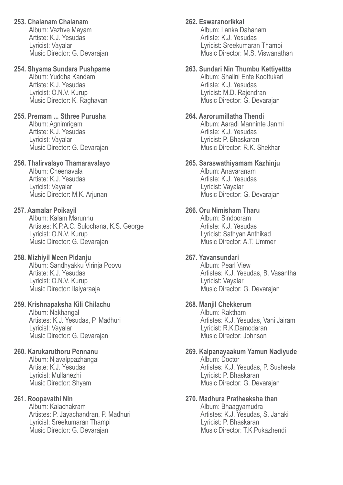### **253. Chalanam Chalanam**

 Album: Vazhve Mayam Artiste: K.J. Yesudas Lyricist: Vayalar Music Director: G. Devarajan

### **254. Shyama Sundara Pushpame**

 Album: Yuddha Kandam Artiste: K.J. Yesudas Lyricist: O.N.V. Kurup Music Director: K. Raghavan

### **255. Premam ... Sthree Purusha**

Album: Agnimrigam Artiste: K.J. Yesudas Lyricist: Vayalar Music Director: G. Devarajan

### **256. Thalirvalayo Thamaravalayo**

 Album: Cheenavala Artiste: K.J. Yesudas Lyricist: Vayalar Music Director: M.K. Arjunan

## **257. Aamalar Poikayil**

 Album: Kalam Marunnu Artistes: K.P.A.C. Sulochana, K.S. George Lyricist: O.N.V. Kurup Music Director: G. Devarajan

## **258. Mizhiyil Meen Pidanju**

 Album: Sandhyakku Virinja Poovu Artiste: K.J. Yesudas Lyricist: O.N.V. Kurup Music Director: Ilaiyaraaja

## **259. Krishnapaksha Kili Chilachu**

 Album: Nakhangal Artistes: K.J. Yesudas, P. Madhuri Lyricist: Vayalar Music Director: G. Devarajan

## **260. Karukaruthoru Pennanu**

 Album: Njavalppazhangal Artiste: K.J. Yesudas Lyricist: Mullanezhi Music Director: Shyam

## **261. Roopavathi Nin**

 Album: Kalachakram Artistes: P. Jayachandran, P. Madhuri Lyricist: Sreekumaran Thampi Music Director: G. Devarajan

## **262. Eswaranorikkal**

 Album: Lanka Dahanam Artiste: K.J. Yesudas Lyricist: Sreekumaran Thampi Music Director: M.S. Viswanathan

### **263. Sundari Nin Thumbu Kettiyettta**

 Album: Shalini Ente Koottukari Artiste: K.J. Yesudas Lyricist: M.D. Rajendran Music Director: G. Devarajan

## **264. Aarorumillatha Thendi**

 Album: Aaradi Manninte Janmi Artiste: K.J. Yesudas Lyricist: P. Bhaskaran Music Director: R.K. Shekhar

### **265. Saraswathiyamam Kazhinju**

 Album: Anavaranam Artiste: K.J. Yesudas Lyricist: Vayalar Music Director: G. Devarajan

#### **266. Oru Nimisham Tharu**

 Album: Sindooram Artiste: K.J. Yesudas Lyricist: Sathyan Anthikad Music Director: A.T. Ummer

## **267. Yavansundari**

 Album: Pearl View Artistes: K.J. Yesudas, B. Vasantha Lyricist: Vayalar Music Director: G. Devarajan

#### **268. Manjil Chekkerum**

 Album: Raktham Artistes: K.J. Yesudas, Vani Jairam Lyricist: R.K.Damodaran Music Director: Johnson

#### **269. Kalpanayaakum Yamun Nadiyude** Album: Doctor Artistes: K.J. Yesudas, P. Susheela Lyricist: P. Bhaskaran Music Director: G. Devarajan

#### **270. Madhura Pratheeksha than**

 Album: Bhaagyamudra Artistes: K.J. Yesudas, S. Janaki Lyricist: P. Bhaskaran Music Director: T.K.Pukazhendi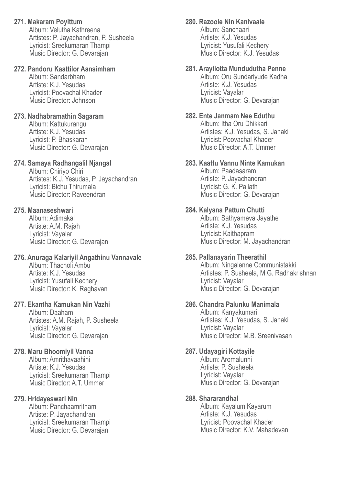## **271. Makaram Poyittum**

 Album: Velutha Kathreena Artistes: P. Jayachandran, P. Susheela Lyricist: Sreekumaran Thampi Music Director: G. Devarajan

## **272. Pandoru Kaattilor Aansimham**

 Album: Sandarbham Artiste: K.J. Yesudas Lyricist: Poovachal Khader Music Director: Johnson

## **273. Nadhabramathin Sagaram**

 Album: Kattukurangu Artiste: K.J. Yesudas Lyricist: P. Bhaskaran Music Director: G. Devarajan

## **274. Samaya Radhangalil Njangal**

 Album: Chiriyo Chiri Artistes: K.J. Yesudas, P. Jayachandran Lyricist: Bichu Thirumala Music Director: Raveendran

## **275. Maanaseshwari**

 Album: Adimakal Artiste: A.M. Rajah Lyricist: Vayalar Music Director: G. Devarajan

## **276. Anuraga Kalariyil Angathinu Vannavale**

 Album: Thacholi Ambu Artiste: K.J. Yesudas Lyricist: Yusufali Kechery Music Director: K. Raghavan

## **277. Ekantha Kamukan Nin Vazhi**

 Album: Daaham Artistes: A.M. Rajah, P. Susheela Lyricist: Vayalar Music Director: G. Devarajan

## **278. Maru Bhoomiyil Vanna**

 Album: Amrithavaahini Artiste: K.J. Yesudas Lyricist: Sreekumaran Thampi Music Director: A.T. Ummer

## **279. Hridayeswari Nin**

 Album: Panchaamritham Artiste: P. Jayachandran Lyricist: Sreekumaran Thampi Music Director: G. Devarajan

## **280. Razoole Nin Kanivaale**

 Album: Sanchaari Artiste: K.J. Yesudas Lyricist: Yusufali Kechery Music Director: K.J. Yesudas

## **281. Arayilotta Mundudutha Penne**

 Album: Oru Sundariyude Kadha Artiste: K.J. Yesudas Lyricist: Vayalar Music Director: G. Devarajan

## **282. Ente Janmam Nee Eduthu**

 Album: Itha Oru Dhikkari Artistes: K.J. Yesudas, S. Janaki Lyricist: Poovachal Khader Music Director: A.T. Ummer

## **283. Kaattu Vannu Ninte Kamukan**

 Album: Paadasaram Artiste: P. Jayachandran Lyricist: G. K. Pallath Music Director: G. Devarajan

## **284. Kalyana Pattum Chutti**

 Album: Sathyameva Jayathe Artiste: K.J. Yesudas Lyricist: Kaithapram Music Director: M. Jayachandran

## **285. Pallanayarin Theerathil**

 Album: Ningalenne Communistakki Artistes: P. Susheela, M.G. Radhakrishnan Lyricist: Vayalar Music Director: G. Devarajan

## **286. Chandra Palunku Manimala**

 Album: Kanyakumari Artistes: K.J. Yesudas, S. Janaki Lyricist: Vayalar Music Director: M.B. Sreenivasan

## **287. Udayagiri Kottayile**

 Album: Aromalunni Artiste: P. Susheela Lyricist: Vayalar Music Director: G. Devarajan

## **288. Shararandhal**

 Album: Kayalum Kayarum Artiste: K.J. Yesudas Lyricist: Poovachal Khader Music Director: K.V. Mahadevan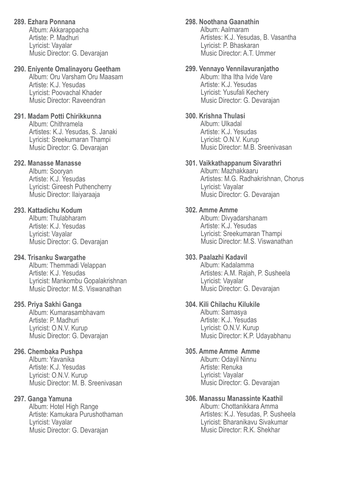## **289. Ezhara Ponnana**

 Album: Akkarappacha Artiste: P. Madhuri Lyricist: Vayalar Music Director: G. Devarajan

### **290. Eniyente Omalinayoru Geetham**

 Album: Oru Varsham Oru Maasam Artiste: K.J. Yesudas Lyricist: Poovachal Khader Music Director: Raveendran

### **291. Madam Potti Chirikkunna**

 Album: Chithramela Artistes: K.J. Yesudas, S. Janaki Lyricist: Sreekumaran Thampi Music Director: G. Devarajan

### **292. Manasse Manasse**

 Album: Sooryan Artiste: K.J. Yesudas Lyricist: Gireesh Puthencherry Music Director: Ilaiyaraaja

### **293. Kattadichu Kodum**

 Album: Thulabharam Artiste: K.J. Yesudas Lyricist: Vayalar Music Director: G. Devarajan

## **294. Trisanku Swargathe**

 Album: Themmadi Velappan Artiste: K.J. Yesudas Lyricist: Mankombu Gopalakrishnan Music Director: M.S. Viswanathan

## **295. Priya Sakhi Ganga**

 Album: Kumarasambhavam Artiste: P. Madhuri Lyricist: O.N.V. Kurup Music Director: G. Devarajan

## **296. Chembaka Pushpa**

 Album: Yavanika Artiste: K.J. Yesudas Lyricist: O.N.V. Kurup Music Director: M. B. Sreenivasan

## **297. Ganga Yamuna**

Album: Hotel High Range Artiste: Kamukara Purushothaman Lyricist: Vayalar Music Director: G. Devarajan

### **298. Noothana Gaanathin**

 Album: Aalmaram Artistes: K.J. Yesudas, B. Vasantha Lyricist: P. Bhaskaran Music Director: A.T. Ummer

### **299. Vennayo Vennilavuranjatho**

 Album: Itha Itha Ivide Vare Artiste: K.J. Yesudas Lyricist: Yusufali Kechery Music Director: G. Devarajan

#### **300. Krishna Thulasi**

 Album: Ulkadal Artiste: K.J. Yesudas Lyricist: O.N.V. Kurup Music Director: M.B. Sreenivasan

#### **301. Vaikkathappanum Sivarathri**

 Album: Mazhakkaaru Artistes: M.G. Radhakrishnan, Chorus Lyricist: Vayalar Music Director: G. Devarajan

### **302. Amme Amme**

 Album: Divyadarshanam Artiste: K.J. Yesudas Lyricist: Sreekumaran Thampi Music Director: M.S. Viswanathan

### **303. Paalazhi Kadavil**

 Album: Kadalamma Artistes: A.M. Rajah, P. Susheela Lyricist: Vayalar Music Director: G. Devarajan

## **304. Kili Chilachu Kilukile**

 Album: Samasya Artiste: K.J. Yesudas Lyricist: O.N.V. Kurup Music Director: K.P. Udayabhanu

#### **305. Amme Amme Amme**

 Album: Odayil Ninnu Artiste: Renuka Lyricist: Vayalar Music Director: G. Devarajan

#### **306. Manassu Manassinte Kaathil**

 Album: Chottanikkara Amma Artistes: K.J. Yesudas, P. Susheela Lyricist: Bharanikavu Sivakumar Music Director: R.K. Shekhar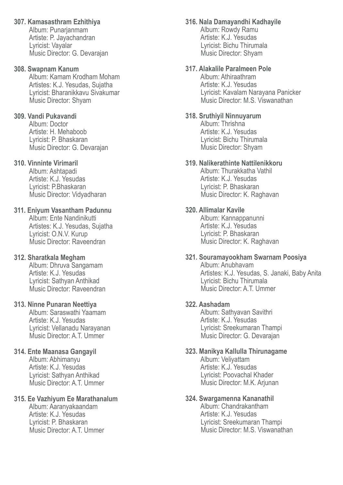## **307. Kamasasthram Ezhithiya**

 Album: Punarjanmam Artiste: P. Jayachandran Lyricist: Vayalar Music Director: G. Devarajan

### **308. Swapnam Kanum**

 Album: Kamam Krodham Moham Artistes: K.J. Yesudas, Sujatha Lyricist: Bharanikkavu Sivakumar Music Director: Shyam

## **309. Vandi Pukavandi**

 Album: Doctor Artiste: H. Mehaboob Lyricist: P. Bhaskaran Music Director: G. Devarajan

## **310. Vinninte Virimaril**

 Album: Ashtapadi Artiste: K.J. Yesudas Lyricist: P.Bhaskaran Music Director: Vidyadharan

## **311. Eniyum Vasantham Padunnu**

 Album: Ente Nandinikutti Artistes: K.J. Yesudas, Sujatha Lyricist: O.N.V. Kurup Music Director: Raveendran

## **312. Sharatkala Megham**

 Album: Dhruva Sangamam Artiste: K.J. Yesudas Lyricist: Sathyan Anthikad Music Director: Raveendran

## **313. Ninne Punaran Neettiya**

 Album: Saraswathi Yaamam Artiste: K.J. Yesudas Lyricist: Vellanadu Narayanan Music Director: A.T. Ummer

## **314. Ente Maanasa Gangayil**

 Album: Abhimanyu Artiste: K.J. Yesudas Lyricist: Sathyan Anthikad Music Director: A.T. Ummer

## **315. Ee Vazhiyum Ee Marathanalum**

 Album: Aaranyakaandam Artiste: K.J. Yesudas Lyricist: P. Bhaskaran Music Director: A.T. Ummer

## **316. Nala Damayandhi Kadhayile**

 Album: Rowdy Ramu Artiste: K.J. Yesudas Lyricist: Bichu Thirumala Music Director: Shyam

## **317. Alakalile Paralmeen Pole**

 Album: Athiraathram Artiste: K.J. Yesudas Lyricist: Kavalam Narayana Panicker Music Director: M.S. Viswanathan

### **318. Sruthiyil Ninnuyarum**

 Album: Thrishna Artiste: K.J. Yesudas Lyricist: Bichu Thirumala Music Director: Shyam

## **319. Nalikerathinte Nattilenikkoru**

 Album: Thurakkatha Vathil Artiste: K.J. Yesudas Lyricist: P. Bhaskaran Music Director: K. Raghavan

## **320. Allimalar Kavile**

 Album: Kannappanunni Artiste: K.J. Yesudas Lyricist: P. Bhaskaran Music Director: K. Raghavan

## **321. Souramayookham Swarnam Poosiya**

 Album: Anubhavam Artistes: K.J. Yesudas, S. Janaki, Baby Anita Lyricist: Bichu Thirumala Music Director: A.T. Ummer

## **322. Aashadam**

 Album: Sathyavan Savithri Artiste: K.J. Yesudas Lyricist: Sreekumaran Thampi Music Director: G. Devarajan

## **323. Manikya Kallulla Thirunagame**

 Album: Veliyattam Artiste: K.J. Yesudas Lyricist: Poovachal Khader Music Director: M.K. Arjunan

## **324. Swargamenna Kananathil**

 Album: Chandrakantham Artiste: K.J. Yesudas Lyricist: Sreekumaran Thampi Music Director: M.S. Viswanathan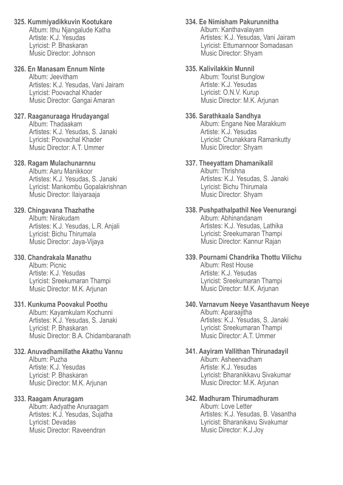**325. Kummiyadikkuvin Kootukare**

 Album: Ithu Njangalude Katha Artiste: K.J. Yesudas Lyricist: P. Bhaskaran Music Director: Johnson

# **326. En Manasam Ennum Ninte**

 Album: Jeevitham Artistes: K.J. Yesudas, Vani Jairam Lyricist: Poovachal Khader Music Director: Gangai Amaran

## **327. Raaganuraaga Hrudayangal**

 Album: Thadaakam Artistes: K.J. Yesudas, S. Janaki Lyricist: Poovachal Khader Music Director: A.T. Ummer

## **328. Ragam Mulachunarnnu**

 Album: Aaru Manikkoor Artistes: K.J. Yesudas, S. Janaki Lyricist: Mankombu Gopalakrishnan Music Director: Ilaiyaraaja

## **329. Chingavana Thazhathe**

 Album: Nirakudam Artistes: K.J. Yesudas, L.R. Anjali Lyricist: Bichu Thirumala Music Director: Jaya-Vijaya

## **330. Chandrakala Manathu**

 Album: Picnic Artiste: K.J. Yesudas Lyricist: Sreekumaran Thampi Music Director: M.K. Arjunan

## **331. Kunkuma Poovakul Poothu**

 Album: Kayamkulam Kochunni Artistes: K.J. Yesudas, S. Janaki Lyricist: P. Bhaskaran Music Director: B.A. Chidambaranath

# **332. Anuvadhamillathe Akathu Vannu**

 Album: Puzha Artiste: K.J. Yesudas Lyricist: P. Bhaskaran Music Director: M.K. Arjunan

# **333. Raagam Anuragam**

 Album: Aadyathe Anuraagam Artistes: K.J. Yesudas, Sujatha Lyricist: Devadas Music Director: Raveendran

# **334. Ee Nimisham Pakurunnitha**

 Album: Kanthavalayam Artistes: K.J. Yesudas, Vani Jairam Lyricist: Ettumannoor Somadasan Music Director: Shyam

## **335. Kalivilakkin Munnil**

 Album: Tourist Bunglow Artiste: K.J. Yesudas Lyricist: O.N.V. Kurup Music Director: M.K. Arjunan

## **336. Sarathkaala Sandhya**

 Album: Engane Nee Marakkum Artiste: K.J. Yesudas Lyricist: Chunakkara Ramankutty Music Director: Shyam

## **337. Theeyattam Dhamanikalil**

 Album: Thrishna Artistes: K.J. Yesudas, S. Janaki Lyricist: Bichu Thirumala Music Director: Shyam

#### **338. Pushpathalpathil Nee Veenurangi** Album: Abhinandanam Artistes: K.J. Yesudas, Lathika Lyricist: Sreekumaran Thampi

Music Director: Kannur Rajan

### **339. Pournami Chandrika Thottu Vilichu** Album: Rest House Artiste: K.J. Yesudas Lyricist: Sreekumaran Thampi Music Director: M.K. Arjunan

### **340. Varnavum Neeye Vasanthavum Neeye** Album: Aparaajitha Artistes: K.J. Yesudas, S. Janaki Lyricist: Sreekumaran Thampi Music Director: A.T. Ummer

#### **341. Aayiram Vallithan Thirunadayil** Album: Asheervadham Artiste: K.J. Yesudas Lyricist: Bharanikkavu Sivakumar Music Director: M.K. Arjunan

# **342. Madhuram Thirumadhuram**

 Album: Love Letter Artistes: K.J. Yesudas, B. Vasantha Lyricist: Bharanikavu Sivakumar Music Director: K.J.Joy